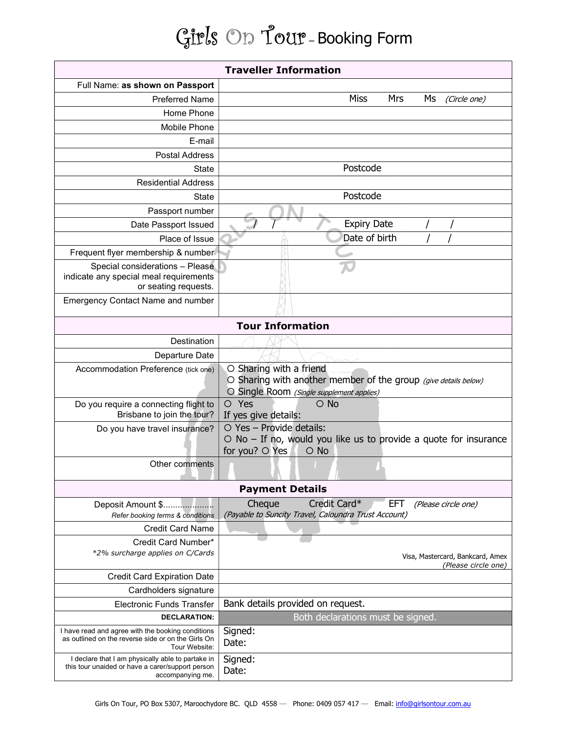## Girls On Tour – Booking Form

| <b>Traveller Information</b>                                                                                              |                                                                                                                                         |
|---------------------------------------------------------------------------------------------------------------------------|-----------------------------------------------------------------------------------------------------------------------------------------|
| Full Name: as shown on Passport                                                                                           |                                                                                                                                         |
| <b>Preferred Name</b>                                                                                                     | <b>Miss</b><br>Mrs<br>Ms<br>(Circle one)                                                                                                |
| Home Phone                                                                                                                |                                                                                                                                         |
| Mobile Phone                                                                                                              |                                                                                                                                         |
| E-mail                                                                                                                    |                                                                                                                                         |
| <b>Postal Address</b>                                                                                                     |                                                                                                                                         |
| State                                                                                                                     | Postcode                                                                                                                                |
| <b>Residential Address</b>                                                                                                |                                                                                                                                         |
| State                                                                                                                     | Postcode                                                                                                                                |
| Passport number                                                                                                           |                                                                                                                                         |
| Date Passport Issued                                                                                                      | <b>Expiry Date</b>                                                                                                                      |
| Place of Issue                                                                                                            | Date of birth                                                                                                                           |
| Frequent flyer membership & number                                                                                        |                                                                                                                                         |
| Special considerations - Please                                                                                           |                                                                                                                                         |
| indicate any special meal requirements<br>or seating requests.                                                            |                                                                                                                                         |
| <b>Emergency Contact Name and number</b>                                                                                  |                                                                                                                                         |
|                                                                                                                           |                                                                                                                                         |
| <b>Tour Information</b>                                                                                                   |                                                                                                                                         |
| Destination                                                                                                               |                                                                                                                                         |
| Departure Date                                                                                                            |                                                                                                                                         |
| Accommodation Preference (tick one)                                                                                       | O Sharing with a friend<br>O Sharing with another member of the group (give details below)<br>O Single Room (Single supplement applies) |
| Do you require a connecting flight to<br>Brisbane to join the tour?                                                       | $\circ$ No<br>O Yes<br>If yes give details:                                                                                             |
| Do you have travel insurance?                                                                                             | O Yes - Provide details:<br>$\circ$ No – If no, would you like us to provide a quote for insurance<br>for you? O Yes<br>$\circ$ No      |
| Other comments                                                                                                            |                                                                                                                                         |
| <b>Payment Details</b>                                                                                                    |                                                                                                                                         |
| Deposit Amount \$<br>Refer booking terms & conditions                                                                     | Credit Card*<br>Cheque<br><b>EFT</b><br>(Please circle one)<br>(Payable to Suncity Travel, Caloundra Trust Account)                     |
| <b>Credit Card Name</b>                                                                                                   |                                                                                                                                         |
| Credit Card Number*                                                                                                       |                                                                                                                                         |
| *2% surcharge applies on C/Cards                                                                                          | Visa, Mastercard, Bankcard, Amex<br>(Please circle one)                                                                                 |
| <b>Credit Card Expiration Date</b>                                                                                        |                                                                                                                                         |
| Cardholders signature                                                                                                     |                                                                                                                                         |
| <b>Electronic Funds Transfer</b>                                                                                          | Bank details provided on request.                                                                                                       |
| <b>DECLARATION:</b>                                                                                                       | Both declarations must be signed.                                                                                                       |
| I have read and agree with the booking conditions<br>as outlined on the reverse side or on the Girls On<br>Tour Website:  | Signed:<br>Date:                                                                                                                        |
| I declare that I am physically able to partake in<br>this tour unaided or have a carer/support person<br>accompanying me. | Signed:<br>Date:                                                                                                                        |